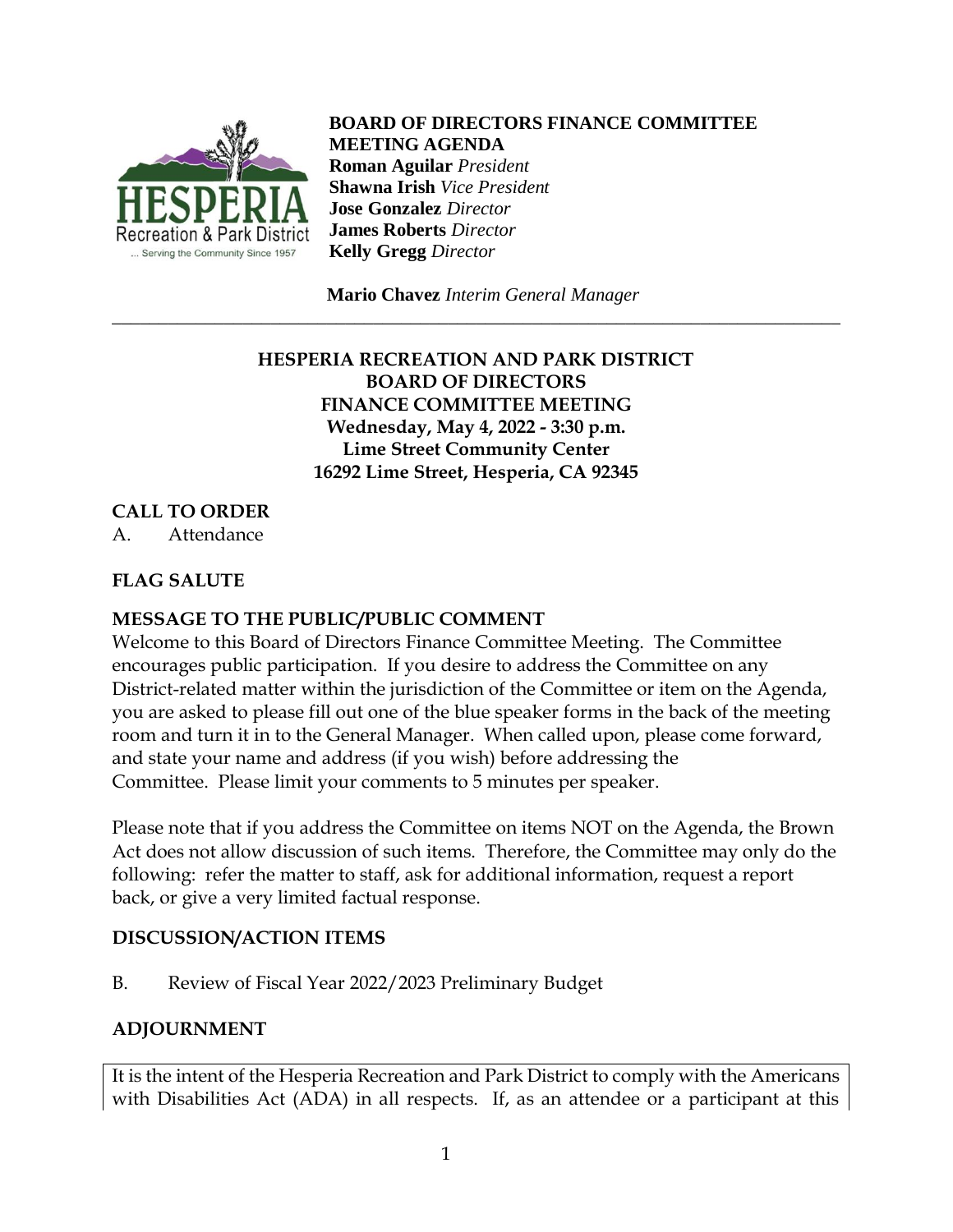

**BOARD OF DIRECTORS FINANCE COMMITTEE MEETING AGENDA Roman Aguilar** *President* **Shawna Irish** *Vice President* **Jose Gonzalez** *Director* **James Roberts** *Director* **Kelly Gregg** *Director*

 **Mario Chavez** *Interim General Manager* \_\_\_\_\_\_\_\_\_\_\_\_\_\_\_\_\_\_\_\_\_\_\_\_\_\_\_\_\_\_\_\_\_\_\_\_\_\_\_\_\_\_\_\_\_\_\_\_\_\_\_\_\_\_\_\_\_\_\_\_\_\_\_\_\_\_\_\_\_\_\_\_\_\_\_\_\_\_

# **HESPERIA RECREATION AND PARK DISTRICT BOARD OF DIRECTORS FINANCE COMMITTEE MEETING Wednesday, May 4, 2022 - 3:30 p.m. Lime Street Community Center 16292 Lime Street, Hesperia, CA 92345**

# **CALL TO ORDER**

A. Attendance

# **FLAG SALUTE**

### **MESSAGE TO THE PUBLIC/PUBLIC COMMENT**

Welcome to this Board of Directors Finance Committee Meeting. The Committee encourages public participation. If you desire to address the Committee on any District-related matter within the jurisdiction of the Committee or item on the Agenda, you are asked to please fill out one of the blue speaker forms in the back of the meeting room and turn it in to the General Manager. When called upon, please come forward, and state your name and address (if you wish) before addressing the Committee. Please limit your comments to 5 minutes per speaker.

Please note that if you address the Committee on items NOT on the Agenda, the Brown Act does not allow discussion of such items. Therefore, the Committee may only do the following: refer the matter to staff, ask for additional information, request a report back, or give a very limited factual response.

### **DISCUSSION/ACTION ITEMS**

B. Review of Fiscal Year 2022/2023 Preliminary Budget

#### **ADJOURNMENT**

It is the intent of the Hesperia Recreation and Park District to comply with the Americans with Disabilities Act (ADA) in all respects. If, as an attendee or a participant at this